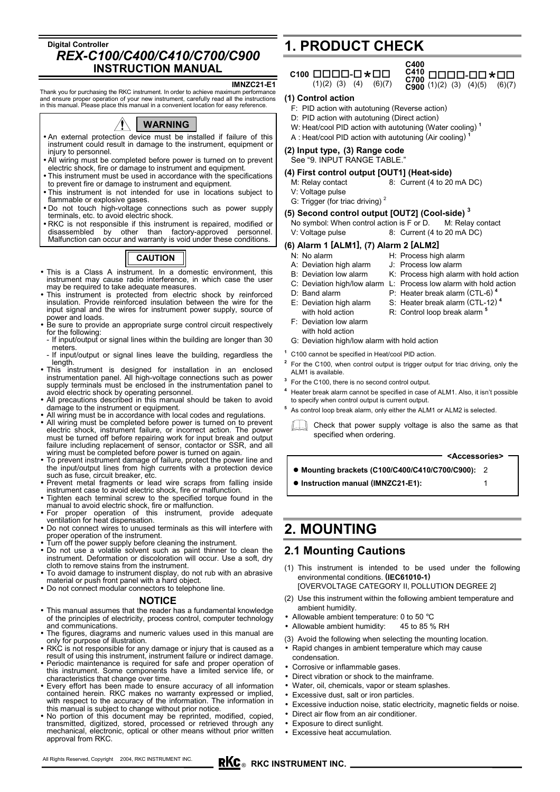### **Digital Controller**  *REX-C100/C400/C410/C700/C900*  **INSTRUCTION MANUAL**

#### **IMNZC21-E1**

Thank you for purchasing the RKC instrument. In order to achieve maximum performance and ensure proper operation of your new instrument, carefully read all the instructions in this manual. Please place this manual in a convenient location for easy reference.



- An external protection device must be installed if failure of this instrument could result in damage to the instrument, equipment or injury to personnel.
- All wiring must be completed before power is turned on to prevent electric shock, fire or damage to instrument and equipment.
- This instrument must be used in accordance with the specifications to prevent fire or damage to instrument and equipment.
- This instrument is not intended for use in locations subject to flammable or explosive gases.
- Do not touch high-voltage connections such as power supply terminals, etc. to avoid electric shock.
- RKC is not responsible if this instrument is repaired, modified or disassembled by other than factory-approved personnel. disassembled by other than factory-approved personnel.<br>Malfunction can occur and warranty is void under these conditions.

# **CAUTION**

- This is a Class A instrument. In a domestic environment, this instrument may cause radio interference, in which case the user may be required to take adequate measures.
- This instrument is protected from electric shock by reinforced insulation. Provide reinforced insulation between the wire for the input signal and the wires for instrument power supply, source of power and loads.
- Be sure to provide an appropriate surge control circuit respectively for the following:
- If input/output or signal lines within the building are longer than 30 meters
- If input/output or signal lines leave the building, regardless the length.
- This instrument is designed for installation in an enclosed instrumentation panel. All high-voltage connections such as power supply terminals must be enclosed in the instrumentation panel to avoid electric shock by operating personnel.
- All precautions described in this manual should be taken to avoid damage to the instrument or equipment.
- All wiring must be in accordance with local codes and regulations.
- All wiring must be completed before power is turned on to prevent electric shock, instrument failure, or incorrect action. The power must be turned off before repairing work for input break and output failure including replacement of sensor, contactor or SSR, and all wiring must be completed before power is turned on again.
- To prevent instrument damage of failure, protect the power line and the input/output lines from high currents with a protection device such as fuse, circuit breaker, etc.
- Prevent metal fragments or lead wire scraps from falling inside instrument case to avoid electric shock, fire or malfunction.
- Tighten each terminal screw to the specified torque found in the
- manual to avoid electric shock, fire or malfunction. For proper operation of this instrument, provide adequate ventilation for heat dispensation.
- Do not connect wires to unused terminals as this will interfere with proper operation of the instrument.
- Turn off the power supply before cleaning the instrument.
- Do not use a volatile solvent such as paint thinner to clean the instrument. Deformation or discoloration will occur. Use a soft, dry cloth to remove stains from the instrument.
- To avoid damage to instrument display, do not rub with an abrasive material or push front panel with a hard object.
- Do not connect modular connectors to telephone line.

#### **NOTICE**

- This manual assumes that the reader has a fundamental knowledge of the principles of electricity, process control, computer technology and communications.
- The figures, diagrams and numeric values used in this manual are only for purpose of illustration.
- RKC is not responsible for any damage or injury that is caused as a result of using this instrument, instrument failure or indirect damage.
- Periodic maintenance is required for safe and proper operation of this instrument. Some components have a limited service life, or characteristics that change over time.
- Every effort has been made to ensure accuracy of all information contained herein. RKC makes no warranty expressed or implied, with respect to the accuracy of the information. The information in
- this manual is subject to change without prior notice. No portion of this document may be reprinted, modified, copied, transmitted, digitized, stored, processed or retrieved through any mechanical, electronic, optical or other means without prior written approval from RKC.

# **1. PRODUCT CHECK**





#### **(1) Control action**

- F: PID action with autotuning (Reverse action)
- D: PID action with autotuning (Direct action)
- W: Heat/cool PID action with autotuning (Water cooling) **<sup>1</sup>**
- A : Heat/cool PID action with autotuning (Air cooling) **<sup>1</sup>**

### **(2) Input type, (3) Range code**

### See "9. INPUT RANGE TABLE."

- **(4) First control output [OUT1] (Heat-side)**
	- M: Relay contact 8: Current (4 to 20 mA DC) V: Voltage pulse
	- G: Trigger (for triac driving)<sup>2</sup>

#### **(5) Second control output [OUT2] (Cool-side) <sup>3</sup>**

No symbol: When control action is F or D. M: Relay contact V: Voltage pulse 8: Current (4 to 20 mA DC) 8: Current (4 to 20 mA DC)

#### **(6) Alarm 1 [ALM1], (7) Alarm 2 [ALM2]**

- N: No alarm H: Process high alarm<br>A: Deviation high alarm J: Process low alarm
- A: Deviation high alarm
- B: Deviation low alarm K: Process high alarm with hold action
- C: Deviation high/low alarm L: Process low alarm with hold action
- D: Band alarm P: Heater break alarm (CTL-6)<sup>4</sup>
- E: Deviation high alarm S: Heater break alarm (CTL-12) **<sup>4</sup>**
	- with hold action **R:** Control loop break alarm
- F: Deviation low alarm with hold action
	-
- G: Deviation high/low alarm with hold action
- **<sup>1</sup>** C100 cannot be specified in Heat/cool PID action.
- **<sup>2</sup>** For the C100, when control output is trigger output for triac driving, only the ALM1 is available.
- **3** For the C100, there is no second control output.

 $\bullet$  Instruction manual (IMNZC21-E1):

- **<sup>4</sup>** Heater break alarm cannot be specified in case of ALM1. Also, it isn't possible to specify when control output is current output.
- **<sup>5</sup>** As control loop break alarm, only either the ALM1 or ALM2 is selected.

Check that power supply voltage is also the same as that specified when ordering.

z **Mounting brackets (C100/C400/C410/C700/C900):** 2 **<Accessories>** 

# **2. MOUNTING**

### **2.1 Mounting Cautions**

- (1) This instrument is intended to be used under the following environmental conditions. **(IEC61010-1)**
	- [OVERVOLTAGE CATEGORY II, POLLUTION DEGREE 2]
- (2) Use this instrument within the following ambient temperature and ambient humidity.
- Allowable ambient temperature: 0 to 50 °C
- Allowable ambient humidity: 45 to 85 % RH
- (3) Avoid the following when selecting the mounting location.
- Rapid changes in ambient temperature which may cause condensation.
- Corrosive or inflammable gases.
- Direct vibration or shock to the mainframe.
- Water, oil, chemicals, vapor or steam splashes.
- Excessive dust, salt or iron particles.
- Excessive induction noise, static electricity, magnetic fields or noise.
- Direct air flow from an air conditioner.
- Exposure to direct sunlight.
- Excessive heat accumulation.

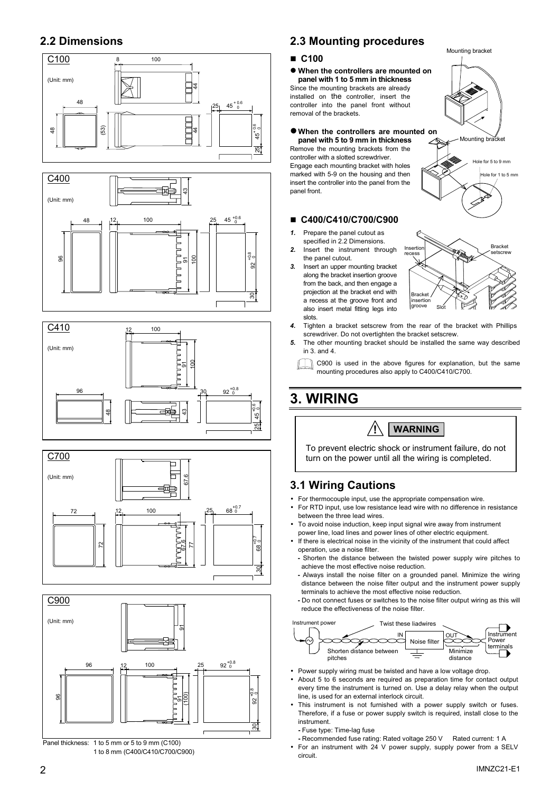# **2.2 Dimensions**











1 to 8 mm (C400/C410/C700/C900)

# **2.3 Mounting procedures**

### **C100**

 $\bullet$  When the controllers are mounted on **panel with 1 to 5 mm in thickness** Since the mounting brackets are already installed on the controller, insert the

controller into the panel front without removal of the brackets.

z **When the controllers are mounted on** 

**panel with 5 to 9 mm in thickness** Remove the mounting brackets from the controller with a slotted screwdriver. Engage each mounting bracket with holes marked with 5-9 on the housing and then insert the controller into the panel from the panel front.

### **C400/C410/C700/C900**

- *1.* Prepare the panel cutout as specified in 2.2 Dimensions.
- *2.* Insert the instrument through the panel cutout.
- *3.* Insert an upper mounting bracket along the bracket insertion groove from the back, and then engage a projection at the bracket end with a recess at the groove front and also insert metal fitting legs into slots.



Mounting bracket

Mounting bracket

 $\frac{1}{10}$  for 5 to 9 mm  $\overline{P}$  for 1 to 5 mm

- *4.* Tighten a bracket setscrew from the rear of the bracket with Phillips screwdriver. Do not overtighten the bracket setscrew.
- *5.* The other mounting bracket should be installed the same way described in  $3$  and  $4$

C900 is used in the above figures for explanation, but the same mounting procedures also apply to C400/C410/C700.

# **3. WIRING**



To prevent electric shock or instrument failure, do not turn on the power until all the wiring is completed.

# **3.1 Wiring Cautions**

- For thermocouple input, use the appropriate compensation wire.
- For RTD input, use low resistance lead wire with no difference in resistance between the three lead wires.
- To avoid noise induction, keep input signal wire away from instrument power line, load lines and power lines of other electric equipment.
- If there is electrical noise in the vicinity of the instrument that could affect operation, use a noise filter.
- **-** Shorten the distance between the twisted power supply wire pitches to achieve the most effective noise reduction.
- **-** Always install the noise filter on a grounded panel. Minimize the wiring distance between the noise filter output and the instrument power supply terminals to achieve the most effective noise reduction.
- **-** Do not connect fuses or switches to the noise filter output wiring as this will reduce the effectiveness of the noise filter.



- Power supply wiring must be twisted and have a low voltage drop.
- About 5 to 6 seconds are required as preparation time for contact output every time the instrument is turned on. Use a delay relay when the output line, is used for an external interlock circuit.
- This instrument is not furnished with a power supply switch or fuses. Therefore, if a fuse or power supply switch is required, install close to the instrument.
	- **-** Fuse type: Time-lag fuse
	- **-** Recommended fuse rating: Rated voltage 250 V Rated current: 1 A
- For an instrument with 24 V power supply, supply power from a SELV circuit.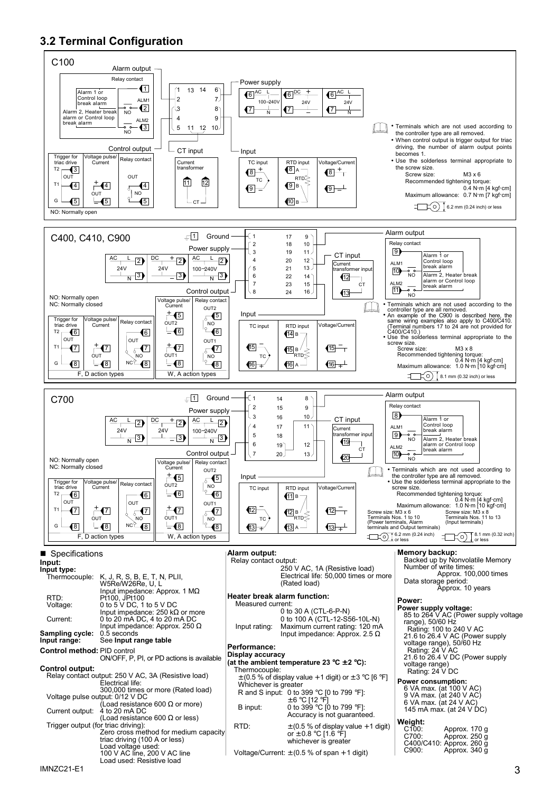# **3.2 Terminal Configuration**

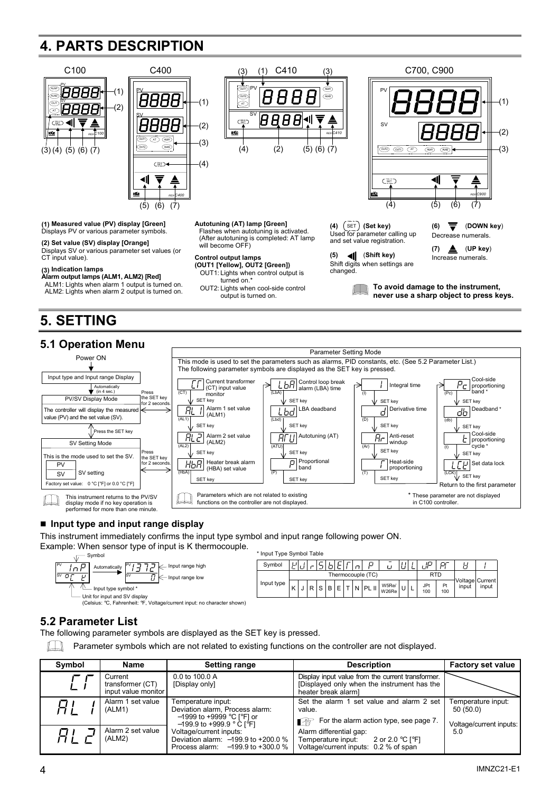# **4. PARTS DESCRIPTION**





### ■ Input type and input range display

This instrument immediately confirms the input type symbol and input range following power ON.

Example: When sensor type of input is K thermocouple.



### **5.2 Parameter List**

The following parameter symbols are displayed as the SET key is pressed.

 $\mathbb{L}$ Parameter symbols which are not related to existing functions on the controller are not displayed.

| Symbol | Name                                               | <b>Setting range</b>                                                                                                | <b>Description</b>                                                                                                     | <b>Factory set value</b>                                  |
|--------|----------------------------------------------------|---------------------------------------------------------------------------------------------------------------------|------------------------------------------------------------------------------------------------------------------------|-----------------------------------------------------------|
|        | Current<br>transformer (CT)<br>input value monitor | 0.0 to 100.0 A<br>[Display only]                                                                                    | Display input value from the current transformer.<br>Displayed only when the instrument has the<br>heater break alarml |                                                           |
|        | Alarm 1 set value<br>(ALM1)                        | Temperature input:<br>Deviation alarm, Process alarm:<br>$-1999$ to +9999 °C [°F] or<br>$-199.9$ to +999.9 ° C [°F] | Set the alarm 1 set value and alarm 2 set<br>value.<br>$\blacksquare$ For the alarm action type, see page 7.           | Temperature input:<br>50(50.0)<br>Voltage/current inputs: |
|        | Alarm 2 set value<br>(ALM2)                        | Voltage/current inputs:<br>Deviation alarm: $-199.9$ to $+200.0$ %<br>Process alarm: $-199.9$ to $+300.0$ %         | Alarm differential gap:<br>2 or 2.0 °C [°F]<br>Temperature input:<br>Voltage/current inputs: 0.2 % of span             | 5.0                                                       |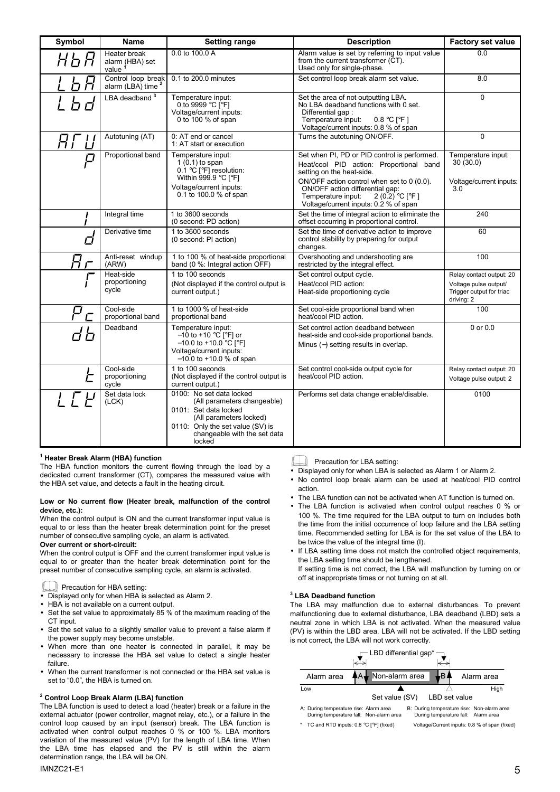| Symbol             | <b>Name</b>                                           | <b>Setting range</b>                                                                                                                                                            | <b>Description</b>                                                                                                                                                                    | <b>Factory set value</b>                                        |
|--------------------|-------------------------------------------------------|---------------------------------------------------------------------------------------------------------------------------------------------------------------------------------|---------------------------------------------------------------------------------------------------------------------------------------------------------------------------------------|-----------------------------------------------------------------|
|                    | Heater break<br>alarm (HBA) set<br>value <sup>1</sup> | 0.0 to 100.0 A                                                                                                                                                                  | Alarm value is set by referring to input value<br>from the current transformer (CT).<br>Used only for single-phase.                                                                   | 0.0                                                             |
|                    | Control loop break<br>alarm (LBA) time <sup>2</sup>   | 0.1 to 200.0 minutes                                                                                                                                                            | Set control loop break alarm set value.                                                                                                                                               | 8.0                                                             |
|                    | LBA deadband <sup>3</sup>                             | Temperature input:<br>0 to 9999 °C [°F]<br>Voltage/current inputs:<br>0 to 100 % of span                                                                                        | Set the area of not outputting LBA.<br>No LBA deadband functions with 0 set.<br>Differential gap:<br>Temperature input:<br>$0.8 °C$ [ $°F$ ]<br>Voltage/current inputs: 0.8 % of span | $\Omega$                                                        |
|                    | Autotuning (AT)                                       | 0: AT end or cancel<br>1: AT start or execution                                                                                                                                 | Turns the autotuning ON/OFF.                                                                                                                                                          | $\Omega$                                                        |
|                    | Proportional band                                     | Temperature input:                                                                                                                                                              | Set when PI, PD or PID control is performed.                                                                                                                                          | Temperature input:                                              |
|                    |                                                       | $1(0.1)$ to span<br>$0.1 \text{ °C}$ [ $\text{ °F}$ ] resolution:<br>Within 999.9 °C $\lceil$ °F1                                                                               | Heat/cool PID action: Proportional band<br>setting on the heat-side.                                                                                                                  | 30(30.0)                                                        |
|                    |                                                       | Voltage/current inputs:<br>0.1 to 100.0 % of span                                                                                                                               | ON/OFF action control when set to 0 (0.0).<br>ON/OFF action differential gap:<br>Temperature input:<br>2 (0.2) °C [°F]<br>Voltage/current inputs: 0.2 % of span                       | Voltage/current inputs:<br>3.0                                  |
|                    | Integral time                                         | 1 to 3600 seconds<br>(0 second: PD action)                                                                                                                                      | Set the time of integral action to eliminate the<br>offset occurring in proportional control.                                                                                         | 240                                                             |
| l 1                | Derivative time                                       | 1 to 3600 seconds<br>(0 second: PI action)                                                                                                                                      | Set the time of derivative action to improve<br>control stability by preparing for output<br>changes.                                                                                 | 60                                                              |
|                    | Anti-reset windup<br>(ARW)                            | 1 to 100 % of heat-side proportional<br>band (0 %: Integral action OFF)                                                                                                         | Overshooting and undershooting are<br>restricted by the integral effect.                                                                                                              | 100                                                             |
|                    | Heat-side                                             | 1 to 100 seconds                                                                                                                                                                | Set control output cycle.                                                                                                                                                             | Relay contact output: 20                                        |
|                    | proportioning<br>cycle                                | (Not displayed if the control output is<br>current output.)                                                                                                                     | Heat/cool PID action:<br>Heat-side proportioning cycle                                                                                                                                | Voltage pulse output/<br>Trigger output for triac<br>driving: 2 |
| $\bar{\mathsf{L}}$ | Cool-side<br>proportional band                        | 1 to 1000 % of heat-side<br>proportional band                                                                                                                                   | Set cool-side proportional band when<br>heat/cool PID action.                                                                                                                         | 100                                                             |
|                    | Deadband                                              | Temperature input:<br>$-10$ to +10 °C [°F] or<br>$-10.0$ to $+10.0$ °C [°F]<br>Voltage/current inputs:<br>$-10.0$ to +10.0 % of span                                            | Set control action deadband between<br>heat-side and cool-side proportional bands.<br>Minus $(-)$ setting results in overlap.                                                         | 0 or 0.0                                                        |
|                    | Cool-side                                             | 1 to 100 seconds                                                                                                                                                                | Set control cool-side output cycle for                                                                                                                                                | Relay contact output: 20                                        |
| F                  | proportioning<br>cycle                                | (Not displayed if the control output is<br>current output.)                                                                                                                     | heat/cool PID action.                                                                                                                                                                 | Voltage pulse output: 2                                         |
|                    | Set data lock<br>(LCK)                                | 0100: No set data locked<br>(All parameters changeable)<br>0101: Set data locked<br>(All parameters locked)<br>0110: Only the set value (SV) is<br>changeable with the set data | Performs set data change enable/disable.                                                                                                                                              | 0100                                                            |
|                    |                                                       | locked                                                                                                                                                                          |                                                                                                                                                                                       |                                                                 |

#### **1 Heater Break Alarm (HBA) function**

The HBA function monitors the current flowing through the load by a dedicated current transformer (CT), compares the measured value with the HBA set value, and detects a fault in the heating circuit.

#### **Low or No current flow (Heater break, malfunction of the control device, etc.):**

When the control output is ON and the current transformer input value is equal to or less than the heater break determination point for the preset number of consecutive sampling cycle, an alarm is activated.

#### **Over current or short-circuit:**

When the control output is OFF and the current transformer input value is equal to or greater than the heater break determination point for the preset number of consecutive sampling cycle, an alarm is activated.

#### **Precaution for HBA setting:**

- Displayed only for when HBA is selected as Alarm 2.
- HBA is not available on a current output.
- Set the set value to approximately 85 % of the maximum reading of the CT input.
- Set the set value to a slightly smaller value to prevent a false alarm if the power supply may become unstable.
- When more than one heater is connected in parallel, it may be necessary to increase the HBA set value to detect a single heater failure.
- When the current transformer is not connected or the HBA set value is set to "0.0", the HBA is turned on.

#### **2 Control Loop Break Alarm (LBA) function**

The LBA function is used to detect a load (heater) break or a failure in the external actuator (power controller, magnet relay, etc.), or a failure in the control loop caused by an input (sensor) break. The LBA function is activated when control output reaches 0 % or 100 %. LBA monitors variation of the measured value (PV) for the length of LBA time. When the LBA time has elapsed and the PV is still within the alarm determination range, the LBA will be ON.

### $10MZC21-E1$

### **Precaution for LBA setting:**

- Displayed only for when LBA is selected as Alarm 1 or Alarm 2.
- No control loop break alarm can be used at heat/cool PID control action.
- The LBA function can not be activated when AT function is turned on.
- The LBA function is activated when control output reaches 0 % or 100 %. The time required for the LBA output to turn on includes both the time from the initial occurrence of loop failure and the LBA setting time. Recommended setting for LBA is for the set value of the LBA to be twice the value of the integral time (I).
- If LBA setting time does not match the controlled object requirements, the LBA selling time should be lengthened.

If setting time is not correct, the LBA will malfunction by turning on or off at inappropriate times or not turning on at all.

#### **3 LBA Deadband function**

The LBA may malfunction due to external disturbances. To prevent malfunctioning due to external disturbance, LBA deadband (LBD) sets a neutral zone in which LBA is not activated. When the measured value (PV) is within the LBD area, LBA will not be activated. If the LBD setting is not correct, the LBA will not work correctly.

|                                                                                   | - LBD differential gap* |                                     |                                               |
|-----------------------------------------------------------------------------------|-------------------------|-------------------------------------|-----------------------------------------------|
| Alarm area                                                                        | Non-alarm area          |                                     | Alarm area                                    |
| Low                                                                               |                         |                                     | High                                          |
|                                                                                   | Set value (SV)          | LBD set value                       |                                               |
| A: During temperature rise: Alarm area<br>During temperature fall: Non-alarm area |                         | During temperature fall: Alarm area | B: During temperature rise: Non-alarm area    |
| * TC and RTD inputs: 0.8 °C [°F] (fixed)                                          |                         |                                     | Voltage/Current inputs: 0.8 % of span (fixed) |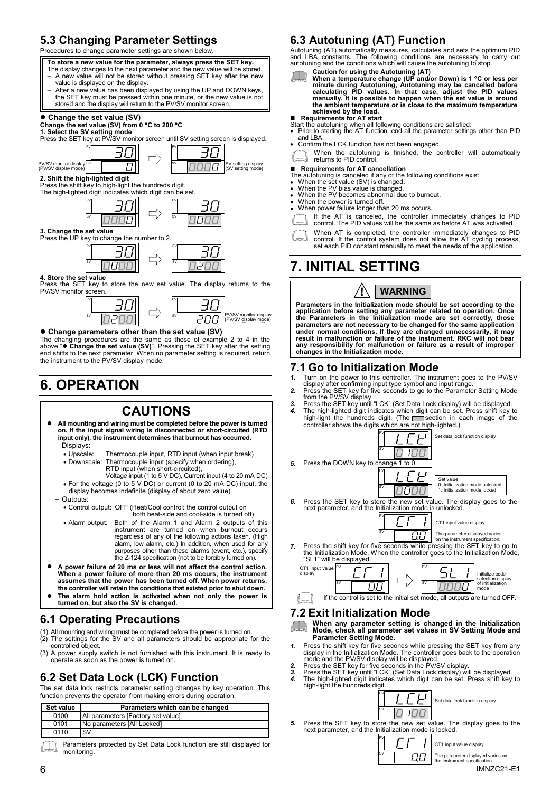# **5.3 Changing Parameter Settings**

Procedures to change parameter settings are shown below.





#### **• Change parameters other than the set value (SV)**

The changing procedures are the same as those of example 2 to 4 in the above " $\bullet$  Change the set value (SV)". Pressing the SET key after the setting end shifts to the next parameter. When no parameter setting is required,

# **6. OPERATION**

### **CAUTIONS**

- z**All mounting and wiring must be completed before the power is turned on. If the input signal wiring is disconnected or short-circuited (RTD input only), the instrument determines that burnout has occurred.** 
	- − Displays:
	- Upscale: Thermocouple input, RTD input (when input break)<br>• Downscale: Thermocouple input (specify when ordering).
	- Thermocouple input (specify when ordering), RTD input (when short-circuited), Voltage input (1 to 5 V DC), Current input (4 to 20 mA DC)
	- For the voltage (0 to 5 V DC) or current (0 to 20 mA DC) input, the display becomes indefinite (display of about zero value).
	- Outputs:
	- Control output: OFF (Heat/Cool control: the control output on both heat-side and cool-side is turned off)
	- Alarm output: Both of the Alarm 1 and Alarm 2 outputs of this instrument are turned on when burnout occurs regardless of any of the following actions taken. (High alarm, low alarm, etc.) In addition, when used for any purposes other than these alarms (event, etc.), specify the Z-124 specification (not to be forcibly turned on).
- z**A power failure of 20 ms or less will not affect the control action. When a power failure of more than 20 ms occurs, the instrument assumes that the power has been turned off. When power returns, the controller will retain the conditions that existed prior to shut down.**
- z**The alarm hold action is activated when not only the power is turned on, but also the SV is changed.**

### **6.1 Operating Precautions**

- (1) All mounting and wiring must be completed before the power is turned on. (2) The settings for the SV and all parameters should be appropriate for the
- controlled object.
- (3) A power supply switch is not furnished with this instrument. It is ready to operate as soon as the power is turned on.

# **6.2 Set Data Lock (LCK) Function**

The set data lock restricts parameter setting changes by key operation. This function prevents the operator from making errors during operation.

| Set value | Parameters which can be changed    |
|-----------|------------------------------------|
| 0100      | All parameters [Factory set value] |
| 0101      | No parameters [All Locked]         |
| 0110      | <b>SV</b>                          |

Parameters protected by Set Data Lock function are still displayed for monitoring.

### **6.3 Autotuning (AT) Function**

Autotuning (AT) automatically measures, calculates and sets the optimum PID<br>and LBA constants. The following conditions are necessary to carry out<br>autotuning and the conditions which will cause the autotuning to sto

Caution for using the Autotuning (AT)<br>When a temperature change (UP and/or Down) is 1 °C or less per<br>When a temperature change (UP and/or Down) is 1 °C or less per<br>minute during Autotuning, Autotuning may be cancelled bef

**■ Requirements for AT start**<br>Start the autotuning when all following conditions are satisfied:<br>● Prior to starting the AT function, end all the parameter settings other than PID

- and LBA.
- Confirm the LCK function has not been engaged.

When the autotuning is finished, the controller will automatically returns to PID control.

#### **Requirements for AT cancellation**

The autotuning is canceled if any of the following conditions exist. • When the set value (SV) is changed.

- 
- When the PV bias value is changed. When the PV becomes abnormal due to burnout. When the power is turned off.
- 
- When power failure longer than 20 ms occurs.
- If the AT is canceled, the controller immediately changes to PID control. The PID values will be the same as before AT was activated.

When AT is completed, the controller immediately changes to PID control. If the control system does not allow the AT cycling process, set each PID constant manually to meet the needs of the application.

# **7. INITIAL SETTING**

# **! WARNING**

**Parameters in the Initialization mode should be set according to the**  application before setting any parameter related to operation. Once<br>the Parameters in the Initialization mode are set correctly, those<br>parameters are not necessary to be changed for the same application<br>under normal condit **any responsibility for malfunction or failure as a result of improper changes in the Initialization mode.** 

### **7.1 Go to Initialization Mode**

- *1.* Turn on the power to this controller. The instrument goes to the PV/SV
- display after confirming input type symbol and input range.<br>2. Press the SET key for five seconds to go to the Parameter Setting Mode<br>from the PV/SV display.<br>3. Press the SET key until "LCK" (Set Data Lock display) will be
- 
- *4.* The high-lighted digit indicates which digit can be set. Press shift key to high-light the hundreds digit. (The section in each image of the controller shows the digits which are not high-lighted.)



CT1 input value display The parameter displayed varies ПO

- on the instrument specification.
- *7.* Press the shift key for five seconds while pressing the SET key to go to the Initialization Mode. When the controller goes to the Initialization Mode, "SL1" will be displayed.

SV



### **7.2 Exit Initialization Mode**

#### **When any parameter setting is changed in the Initialization Mode, check all parameter set values in SV Setting Mode and Parameter Setting Mode.**

- 1. Press the shift key for five seconds while pressing the SET key from any display in the Initialization Mode. The controller goes back to the operation mode and the PV/SV display will be displayed.<br>2. Press the SET key f
- 

SV PV

SV PV

*3.* Press the SET key until "LCK" (Set Data Lock display) will be displayed. *4.* The high-lighted digit indicates which digit can be set. Press shift key to high-light the hundreds digit.



**5.** Press the SET key to store the new set value. The display goes to the next parameter, and the Initialization mode is locked.

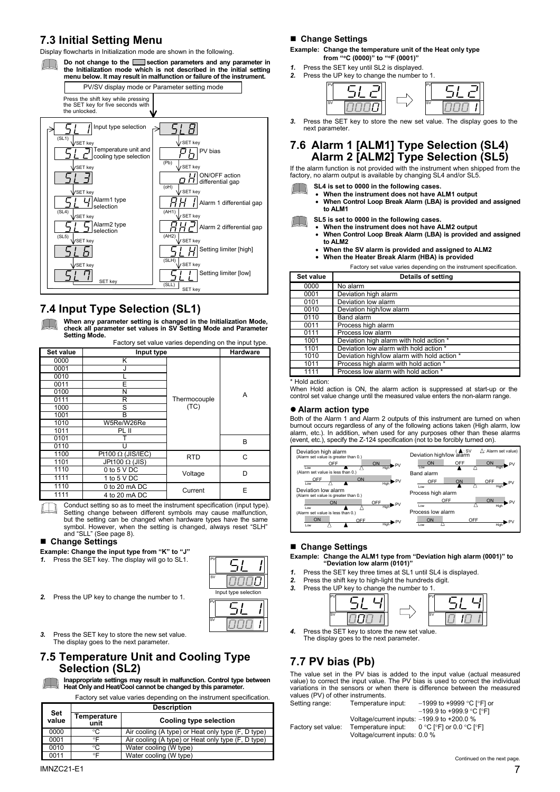## **7.3 Initial Setting Menu**

Display flowcharts in Initialization mode are shown in the following.

Do not change to the **section parameters and any parameter in the Initialization mode which is not described in the initial setting menu below. It may result in malfunction or failure of the instrument.**



# **7.4 Input Type Selection (SL1)**

**When any parameter setting is changed in the Initialization Mode, check all parameter set values in SV Setting Mode and Parameter Setting Mode.**  Factory set value varies depending on the input type.

| Factory set value varies depending on the input type. |                          |              |                 |  |
|-------------------------------------------------------|--------------------------|--------------|-----------------|--|
| Set value                                             | Input type               |              | <b>Hardware</b> |  |
| 0000                                                  | Κ                        |              |                 |  |
| 0001                                                  |                          |              |                 |  |
| 0010                                                  |                          |              |                 |  |
| 0011                                                  | F                        |              |                 |  |
| 0100                                                  | N                        |              | A               |  |
| 0111                                                  | R                        | Thermocouple |                 |  |
| 1000                                                  | S                        | (TC)         |                 |  |
| 1001                                                  | B                        |              |                 |  |
| 1010                                                  | W5Re/W26Re               |              |                 |  |
| 1011                                                  | PL II                    |              |                 |  |
| 0101                                                  |                          |              | B               |  |
| 0110                                                  |                          |              |                 |  |
| 1100                                                  | Pt100 $\Omega$ (JIS/IEC) | <b>RTD</b>   | C               |  |
| 1101                                                  | JPt100 $\Omega$ (JIS)    |              |                 |  |
| 1110                                                  | 0 to $5$ V DC            | Voltage      |                 |  |
| 1111                                                  | 1 to 5 V DC              |              |                 |  |
| 1110                                                  | 0 to 20 mA DC            | Current      | E               |  |
| 1111                                                  | 4 to 20 mA DC            |              |                 |  |

Conduct setting so as to meet the instrument specification (input type). Setting change between different symbols may cause malfunction, but the setting can be changed when hardware types have the same symbol. However, when the setting is changed, always reset "SLH" and "SLL" (See page 8).

#### **Change Settings**

**Example: Change the input type from "K" to "J" 1.** Press the SET key. The display will go to SL1.

- Press the SET key. The display will go to SL1.
- PV i SV 0000 Input type selection PV SV

*2.* Press the UP key to change the number to 1.

*3.* Press the SET key to store the new set value. The display goes to the next parameter.

### **7.5 Temperature Unit and Cooling Type Selection (SL2)**

**Inappropriate settings may result in malfunction. Control type between Heat Only and Heat/Cool cannot be changed by this parameter.** 

Factory set value varies depending on the instrument specification.

| <b>Description</b>  |                                                    |
|---------------------|----------------------------------------------------|
| Temperature<br>unit | Cooling type selection                             |
| °C                  | Air cooling (A type) or Heat only type (F, D type) |
| $\circ \mathsf{F}$  | Air cooling (A type) or Heat only type (F, D type) |
| °C                  | Water cooling (W type)                             |
| $\circ \mathsf{F}$  | Water cooling (W type)                             |
|                     |                                                    |

### **Change Settings**

**Example: Change the temperature unit of the Heat only type from "**°**C (0000)" to "**°**F (0001)"** 

- *1.* Press the SET key until SL2 is displayed.
- *2.* Press the UP key to change the number to 1.

| P      |  |  |
|--------|--|--|
| $\sim$ |  |  |

Press the SET key to store the new set value. The display goes to the next parameter.

### **7.6 Alarm 1 [ALM1] Type Selection (SL4) Alarm 2 [ALM2] Type Selection (SL5)**

If the alarm function is not provided with the instrument when shipped from the factory, no alarm output is available by changing SL4 and/or SL5.

- **SL4 is set to 0000 in the following cases.**
- - **When the instrument does not have ALM1 output When Control Loop Break Alarm (LBA) is provided and assigned to ALM1**

**SL5 is set to 0000 in the following cases.** 

- **When the instrument does not have ALM2 output** 
	- **When Control Loop Break Alarm (LBA) is provided and assigned to ALM2**
	- **When the SV alarm is provided and assigned to ALM2**
	- **When the Heater Break Alarm (HBA) is provided**

Factory set value varies depending on the instrument specification.

| Set value | Details of setting                          |  |
|-----------|---------------------------------------------|--|
| 0000      | No alarm                                    |  |
| 0001      | Deviation high alarm                        |  |
| 0101      | Deviation low alarm                         |  |
| 0010      | Deviation high/low alarm                    |  |
| 0110      | Band alarm                                  |  |
| 0011      | Process high alarm                          |  |
| 0111      | Process low alarm                           |  |
| 1001      | Deviation high alarm with hold action *     |  |
| 1101      | Deviation low alarm with hold action *      |  |
| 1010      | Deviation high/low alarm with hold action * |  |
| 1011      | Process high alarm with hold action *       |  |
| 1111      | Process low alarm with hold action *        |  |
|           |                                             |  |

Hold action:

When Hold action is ON, the alarm action is suppressed at start-up or the control set value change until the measured value enters the non-alarm range.

#### **• Alarm action type**

Both of the Alarm 1 and Alarm 2 outputs of this instrument are turned on when burnout occurs regardless of any of the following actions taken (High alarm, low alarm, etc.). In addition, when used for any purposes other than these alarms (event, etc.), specify the Z-124 specification (not to be forcibly turned on).



#### **Change Settings**

# **Example: Change the ALM1 type from "Deviation high alarm (0001)" to "Deviation low alarm (0101)"**

- Press the SET key three times at SL1 until SL4 is displayed.
- *2.* Press the shift key to high-light the hundreds digit.



*4.* Press the SET key to store the new set value. The display goes to the next parameter.

# **7.7 PV bias (Pb)**

The value set in the PV bias is added to the input value (actual measured value) to correct the input value. The PV bias is used to correct the individual variations in the sensors or when there is difference between the measured values (PV) of other instruments.

| Temperature input:                             | $-1999$ to +9999 °C I°F1 or          |
|------------------------------------------------|--------------------------------------|
|                                                | $-199.9$ to +999.9 °C [°F]           |
| Voltage/current inputs: $-199.9$ to $+200.0$ % |                                      |
| Temperature input:                             | $0 °C$ [ $°F$ ] or $0.0 °C$ [ $°F$ ] |
| Voltage/current inputs: 0.0 %                  |                                      |
|                                                |                                      |